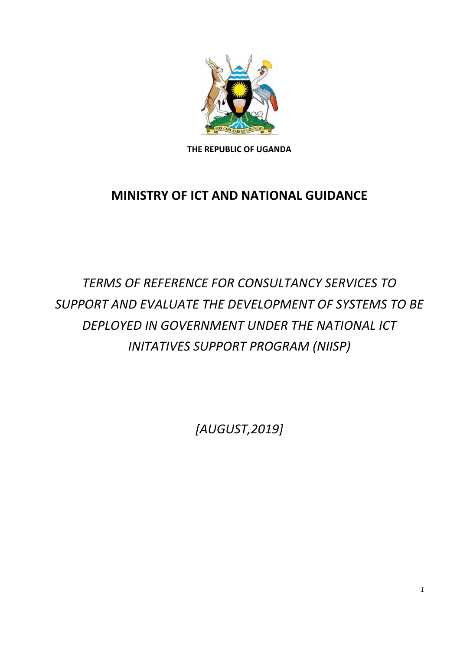

**THE REPUBLIC OF UGANDA**

# **MINISTRY OF ICT AND NATIONAL GUIDANCE**

*TERMS OF REFERENCE FOR CONSULTANCY SERVICES TO SUPPORT AND EVALUATE THE DEVELOPMENT OF SYSTEMS TO BE DEPLOYED IN GOVERNMENT UNDER THE NATIONAL ICT INITATIVES SUPPORT PROGRAM (NIISP)*

*[AUGUST,2019]*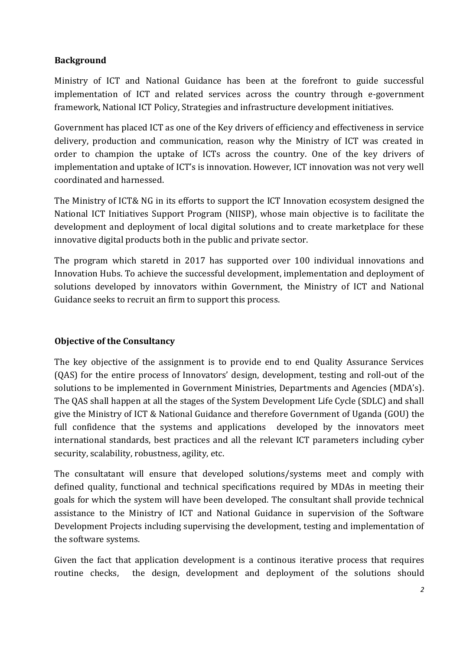### **Background**

Ministry of ICT and National Guidance has been at the forefront to guide successful implementation of ICT and related services across the country through e-government framework, National ICT Policy, Strategies and infrastructure development initiatives.

Government has placed ICT as one of the Key drivers of efficiency and effectiveness in service delivery, production and communication, reason why the Ministry of ICT was created in order to champion the uptake of ICTs across the country. One of the key drivers of implementation and uptake of ICT's is innovation. However, ICT innovation was not very well coordinated and harnessed.

The Ministry of ICT& NG in its efforts to support the ICT Innovation ecosystem designed the National ICT Initiatives Support Program (NIISP), whose main objective is to facilitate the development and deployment of local digital solutions and to create marketplace for these innovative digital products both in the public and private sector.

The program which staretd in 2017 has supported over 100 individual innovations and Innovation Hubs. To achieve the successful development, implementation and deployment of solutions developed by innovators within Government, the Ministry of ICT and National Guidance seeks to recruit an firm to support this process.

# **Objective of the Consultancy**

The key objective of the assignment is to provide end to end Quality Assurance Services (QAS) for the entire process of Innovators' design, development, testing and roll-out of the solutions to be implemented in Government Ministries, Departments and Agencies (MDA's). The QAS shall happen at all the stages of the System Development Life Cycle (SDLC) and shall give the Ministry of ICT & National Guidance and therefore Government of Uganda (GOU) the full confidence that the systems and applications developed by the innovators meet international standards, best practices and all the relevant ICT parameters including cyber security, scalability, robustness, agility, etc.

The consultatant will ensure that developed solutions/systems meet and comply with defined quality, functional and technical specifications required by MDAs in meeting their goals for which the system will have been developed. The consultant shall provide technical assistance to the Ministry of ICT and National Guidance in supervision of the Software Development Projects including supervising the development, testing and implementation of the software systems.

Given the fact that application development is a continous iterative process that requires routine checks, the design, development and deployment of the solutions should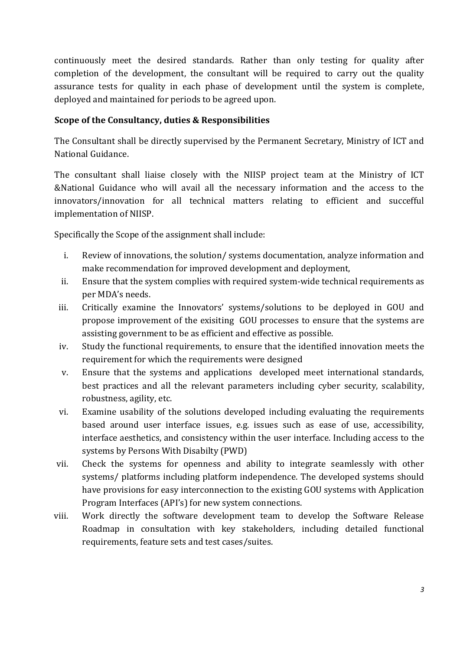continuously meet the desired standards. Rather than only testing for quality after completion of the development, the consultant will be required to carry out the quality assurance tests for quality in each phase of development until the system is complete, deployed and maintained for periods to be agreed upon.

### **Scope of the Consultancy, duties & Responsibilities**

The Consultant shall be directly supervised by the Permanent Secretary, Ministry of ICT and National Guidance.

The consultant shall liaise closely with the NIISP project team at the Ministry of ICT &National Guidance who will avail all the necessary information and the access to the innovators/innovation for all technical matters relating to efficient and succefful implementation of NIISP.

Specifically the Scope of the assignment shall include:

- i. Review of innovations, the solution/ systems documentation, analyze information and make recommendation for improved development and deployment,
- ii. Ensure that the system complies with required system-wide technical requirements as per MDA's needs.
- iii. Critically examine the Innovators' systems/solutions to be deployed in GOU and propose improvement of the exisiting GOU processes to ensure that the systems are assisting government to be as efficient and effective as possible.
- iv. Study the functional requirements, to ensure that the identified innovation meets the requirement for which the requirements were designed
- v. Ensure that the systems and applications developed meet international standards, best practices and all the relevant parameters including cyber security, scalability, robustness, agility, etc.
- vi. Examine usability of the solutions developed including evaluating the requirements based around user interface issues, e.g. issues such as ease of use, accessibility, interface aesthetics, and consistency within the user interface. Including access to the systems by Persons With Disabilty (PWD)
- vii. Check the systems for openness and ability to integrate seamlessly with other systems/ platforms including platform independence. The developed systems should have provisions for easy interconnection to the existing GOU systems with Application Program Interfaces (API's) for new system connections.
- viii. Work directly the software development team to develop the Software Release Roadmap in consultation with key stakeholders, including detailed functional requirements, feature sets and test cases/suites.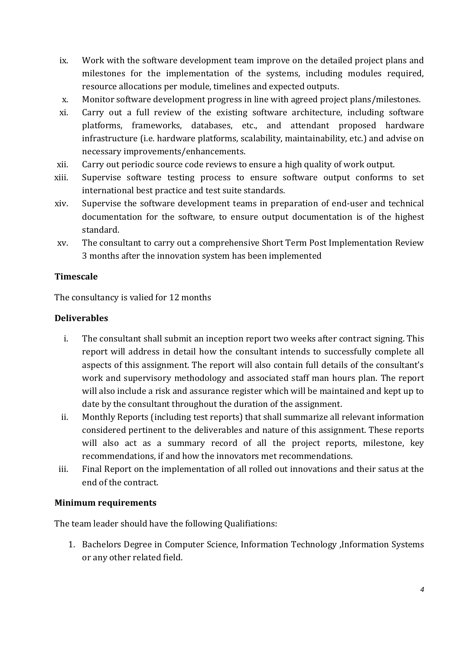- ix. Work with the software development team improve on the detailed project plans and milestones for the implementation of the systems, including modules required, resource allocations per module, timelines and expected outputs.
- x. Monitor software development progress in line with agreed project plans/milestones.
- xi. Carry out a full review of the existing software architecture, including software platforms, frameworks, databases, etc., and attendant proposed hardware infrastructure (i.e. hardware platforms, scalability, maintainability, etc.) and advise on necessary improvements/enhancements.
- xii. Carry out periodic source code reviews to ensure a high quality of work output.
- xiii. Supervise software testing process to ensure software output conforms to set international best practice and test suite standards.
- xiv. Supervise the software development teams in preparation of end-user and technical documentation for the software, to ensure output documentation is of the highest standard.
- xv. The consultant to carry out a comprehensive Short Term Post Implementation Review 3 months after the innovation system has been implemented

## **Timescale**

The consultancy is valied for 12 months

## **Deliverables**

- i. The consultant shall submit an inception report two weeks after contract signing. This report will address in detail how the consultant intends to successfully complete all aspects of this assignment. The report will also contain full details of the consultant's work and supervisory methodology and associated staff man hours plan. The report will also include a risk and assurance register which will be maintained and kept up to date by the consultant throughout the duration of the assignment.
- ii. Monthly Reports (including test reports) that shall summarize all relevant information considered pertinent to the deliverables and nature of this assignment. These reports will also act as a summary record of all the project reports, milestone, key recommendations, if and how the innovators met recommendations.
- iii. Final Report on the implementation of all rolled out innovations and their satus at the end of the contract.

#### **Minimum requirements**

The team leader should have the following Qualifiations:

1. Bachelors Degree in Computer Science, Information Technology ,Information Systems or any other related field.